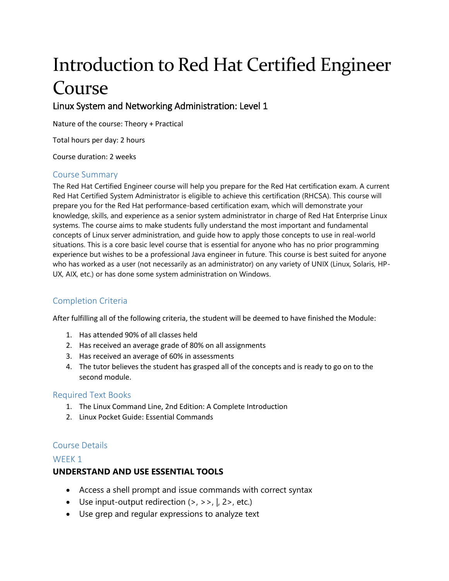# Introduction to Red Hat Certified Engineer Course

# Linux System and Networking Administration: Level 1

Nature of the course: Theory + Practical

Total hours per day: 2 hours

Course duration: 2 weeks

#### Course Summary

The Red Hat Certified Engineer course will help you prepare for the Red Hat certification exam. A current Red Hat Certified System Administrator is eligible to achieve this certification (RHCSA). This course will prepare you for the Red Hat performance-based certification exam, which will demonstrate your knowledge, skills, and experience as a senior system administrator in charge of Red Hat Enterprise Linux systems. The course aims to make students fully understand the most important and fundamental concepts of Linux server administration, and guide how to apply those concepts to use in real-world situations. This is a core basic level course that is essential for anyone who has no prior programming experience but wishes to be a professional Java engineer in future. This course is best suited for anyone who has worked as a user (not necessarily as an administrator) on any variety of UNIX (Linux, Solaris, HP-UX, AIX, etc.) or has done some system administration on Windows.

# Completion Criteria

After fulfilling all of the following criteria, the student will be deemed to have finished the Module:

- 1. Has attended 90% of all classes held
- 2. Has received an average grade of 80% on all assignments
- 3. Has received an average of 60% in assessments
- 4. The tutor believes the student has grasped all of the concepts and is ready to go on to the second module.

#### Required Text Books

- 1. The Linux Command Line, 2nd Edition: A Complete Introduction
- 2. Linux Pocket Guide: Essential Commands

#### Course Details

#### WFFK<sub>1</sub>

#### **UNDERSTAND AND USE ESSENTIAL TOOLS**

- Access a shell prompt and issue commands with correct syntax
- Use input-output redirection  $(>, >> , |, 2>$ , etc.)
- Use grep and regular expressions to analyze text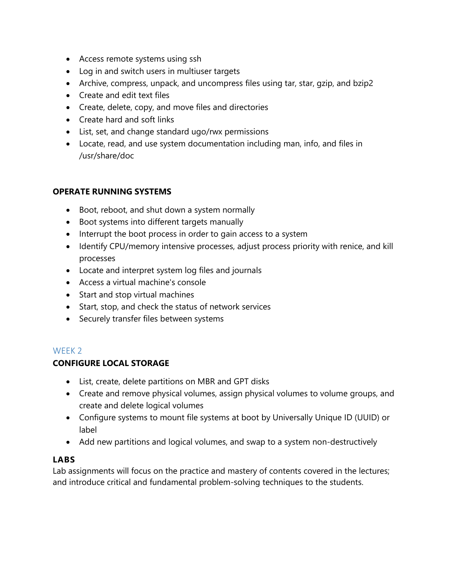- Access remote systems using ssh
- Log in and switch users in multiuser targets
- Archive, compress, unpack, and uncompress files using tar, star, gzip, and bzip2
- Create and edit text files
- Create, delete, copy, and move files and directories
- Create hard and soft links
- List, set, and change standard ugo/rwx permissions
- Locate, read, and use system documentation including man, info, and files in /usr/share/doc

#### **OPERATE RUNNING SYSTEMS**

- Boot, reboot, and shut down a system normally
- Boot systems into different targets manually
- Interrupt the boot process in order to gain access to a system
- Identify CPU/memory intensive processes, adjust process priority with renice, and kill processes
- Locate and interpret system log files and journals
- Access a virtual machine's console
- Start and stop virtual machines
- Start, stop, and check the status of network services
- Securely transfer files between systems

# WFFK<sub>2</sub>

# **CONFIGURE LOCAL STORAGE**

- List, create, delete partitions on MBR and GPT disks
- Create and remove physical volumes, assign physical volumes to volume groups, and create and delete logical volumes
- Configure systems to mount file systems at boot by Universally Unique ID (UUID) or label
- Add new partitions and logical volumes, and swap to a system non-destructively

#### **LABS**

Lab assignments will focus on the practice and mastery of contents covered in the lectures; and introduce critical and fundamental problem-solving techniques to the students.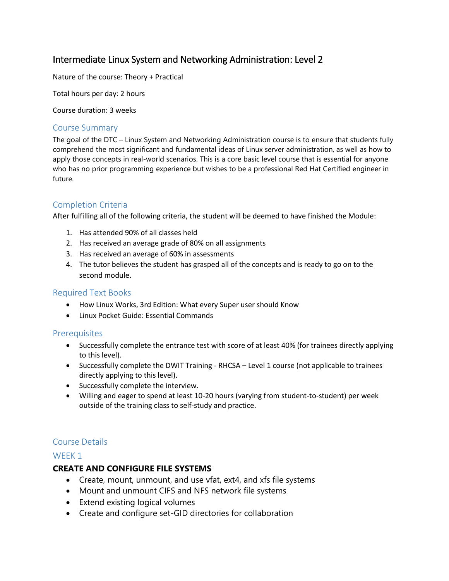# Intermediate Linux System and Networking Administration: Level 2

Nature of the course: Theory + Practical

Total hours per day: 2 hours

Course duration: 3 weeks

#### Course Summary

The goal of the DTC – Linux System and Networking Administration course is to ensure that students fully comprehend the most significant and fundamental ideas of Linux server administration, as well as how to apply those concepts in real-world scenarios. This is a core basic level course that is essential for anyone who has no prior programming experience but wishes to be a professional Red Hat Certified engineer in future.

#### Completion Criteria

After fulfilling all of the following criteria, the student will be deemed to have finished the Module:

- 1. Has attended 90% of all classes held
- 2. Has received an average grade of 80% on all assignments
- 3. Has received an average of 60% in assessments
- 4. The tutor believes the student has grasped all of the concepts and is ready to go on to the second module.

#### Required Text Books

- How Linux Works, 3rd Edition: What every Super user should Know
- Linux Pocket Guide: Essential Commands

#### Prerequisites

- Successfully complete the entrance test with score of at least 40% (for trainees directly applying to this level).
- Successfully complete the DWIT Training RHCSA Level 1 course (not applicable to trainees directly applying to this level).
- Successfully complete the interview.
- Willing and eager to spend at least 10-20 hours (varying from student-to-student) per week outside of the training class to self-study and practice.

#### Course Details

#### WFFK<sub>1</sub>

#### **CREATE AND CONFIGURE FILE SYSTEMS**

- Create, mount, unmount, and use vfat, ext4, and xfs file systems
- Mount and unmount CIFS and NFS network file systems
- Extend existing logical volumes
- Create and configure set-GID directories for collaboration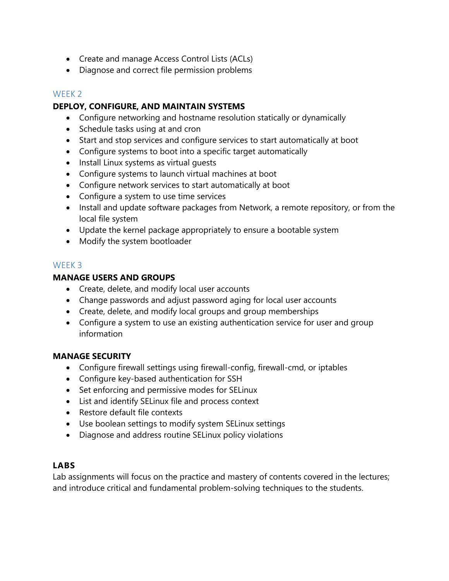- Create and manage Access Control Lists (ACLs)
- Diagnose and correct file permission problems

#### WEEK 2

#### **DEPLOY, CONFIGURE, AND MAINTAIN SYSTEMS**

- Configure networking and hostname resolution statically or dynamically
- Schedule tasks using at and cron
- Start and stop services and configure services to start automatically at boot
- Configure systems to boot into a specific target automatically
- Install Linux systems as virtual quests
- Configure systems to launch virtual machines at boot
- Configure network services to start automatically at boot
- Configure a system to use time services
- Install and update software packages from Network, a remote repository, or from the local file system
- Update the kernel package appropriately to ensure a bootable system
- Modify the system bootloader

#### WEEK 3

#### **MANAGE USERS AND GROUPS**

- Create, delete, and modify local user accounts
- Change passwords and adjust password aging for local user accounts
- Create, delete, and modify local groups and group memberships
- Configure a system to use an existing authentication service for user and group information

#### **MANAGE SECURITY**

- Configure firewall settings using firewall-config, firewall-cmd, or iptables
- Configure key-based authentication for SSH
- Set enforcing and permissive modes for SELinux
- List and identify SELinux file and process context
- Restore default file contexts
- Use boolean settings to modify system SELinux settings
- Diagnose and address routine SELinux policy violations

# **LABS**

Lab assignments will focus on the practice and mastery of contents covered in the lectures; and introduce critical and fundamental problem-solving techniques to the students.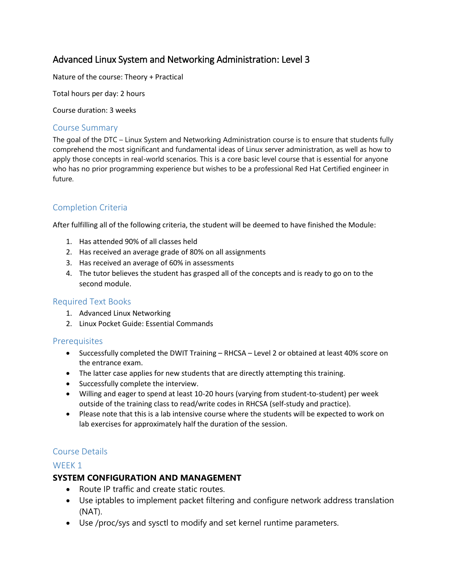# Advanced Linux System and Networking Administration: Level 3

Nature of the course: Theory + Practical

Total hours per day: 2 hours

Course duration: 3 weeks

#### Course Summary

The goal of the DTC – Linux System and Networking Administration course is to ensure that students fully comprehend the most significant and fundamental ideas of Linux server administration, as well as how to apply those concepts in real-world scenarios. This is a core basic level course that is essential for anyone who has no prior programming experience but wishes to be a professional Red Hat Certified engineer in future.

# Completion Criteria

After fulfilling all of the following criteria, the student will be deemed to have finished the Module:

- 1. Has attended 90% of all classes held
- 2. Has received an average grade of 80% on all assignments
- 3. Has received an average of 60% in assessments
- 4. The tutor believes the student has grasped all of the concepts and is ready to go on to the second module.

#### Required Text Books

- 1. Advanced Linux Networking
- 2. Linux Pocket Guide: Essential Commands

#### **Prerequisites**

- Successfully completed the DWIT Training RHCSA Level 2 or obtained at least 40% score on the entrance exam.
- The latter case applies for new students that are directly attempting this training.
- Successfully complete the interview.
- Willing and eager to spend at least 10-20 hours (varying from student-to-student) per week outside of the training class to read/write codes in RHCSA (self-study and practice).
- Please note that this is a lab intensive course where the students will be expected to work on lab exercises for approximately half the duration of the session.

#### Course Details

#### WFFK<sub>1</sub>

#### **SYSTEM CONFIGURATION AND MANAGEMENT**

- Route IP traffic and create static routes.
- Use iptables to implement packet filtering and configure network address translation (NAT).
- Use /proc/sys and sysctl to modify and set kernel runtime parameters.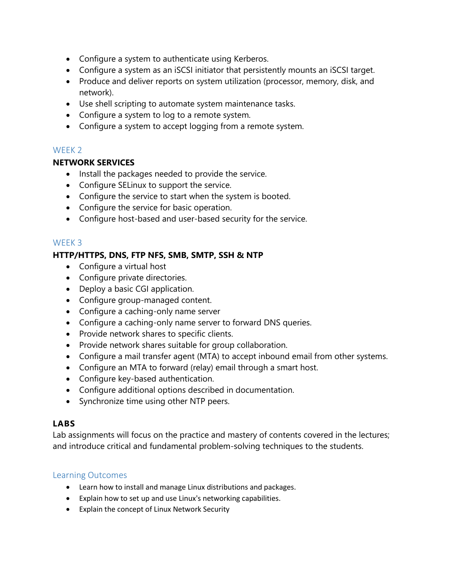- Configure a system to authenticate using Kerberos.
- Configure a system as an iSCSI initiator that persistently mounts an iSCSI target.
- Produce and deliver reports on system utilization (processor, memory, disk, and network).
- Use shell scripting to automate system maintenance tasks.
- Configure a system to log to a remote system.
- Configure a system to accept logging from a remote system.

#### WFFK<sub>2</sub>

#### **NETWORK SERVICES**

- Install the packages needed to provide the service.
- Configure SELinux to support the service.
- Configure the service to start when the system is booted.
- Configure the service for basic operation.
- Configure host-based and user-based security for the service.

#### WEEK 3

#### **HTTP/HTTPS, DNS, FTP NFS, SMB, SMTP, SSH & NTP**

- Configure a virtual host
- Configure private directories.
- Deploy a basic CGI application.
- Configure group-managed content.
- Configure a caching-only name server
- Configure a caching-only name server to forward DNS queries.
- Provide network shares to specific clients.
- Provide network shares suitable for group collaboration.
- Configure a mail transfer agent (MTA) to accept inbound email from other systems.
- Configure an MTA to forward (relay) email through a smart host.
- Configure key-based authentication.
- Configure additional options described in documentation.
- Synchronize time using other NTP peers.

# **LABS**

Lab assignments will focus on the practice and mastery of contents covered in the lectures; and introduce critical and fundamental problem-solving techniques to the students.

#### Learning Outcomes

- Learn how to install and manage Linux distributions and packages.
- Explain how to set up and use Linux's networking capabilities.
- Explain the concept of Linux Network Security